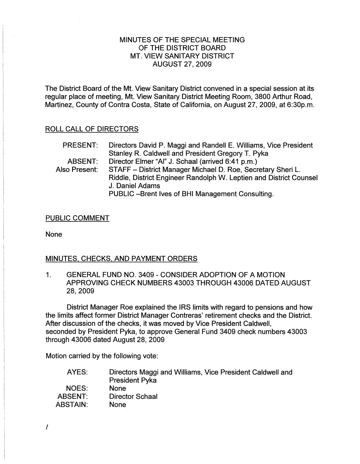# MINUTES OF THE SPECIAL MEETING OF THE DISTRICT BOARD MT. VIEW SANITARY DISTRICT AUGUST 27, 2009

The District Board of the Mt. View Sanitary District convened in a special session at its regular place of meeting, Mt. View Sanitary District Meeting Room, 3800 Arthur Road, Martinez, County of Contra Costa, State of California, on August 27,2009, at 6:30p.m.

## ROLL CALL OF DIRECTORS

| Directors David P. Maggi and Randell E. Williams, Vice President   |
|--------------------------------------------------------------------|
| Stanley R. Caldwell and President Gregory T. Pyka                  |
| Director Elmer "Al" J. Schaal (arrived 6:41 p.m.)                  |
| STAFF - District Manager Michael D. Roe, Secretary Sheri L.        |
| Riddle, District Engineer Randolph W. Leptien and District Counsel |
| J. Daniel Adams                                                    |
| PUBLIC-Brent Ives of BHI Management Consulting.                    |
|                                                                    |

#### PUBLIC COMMENT

None

## MINUTES, CHECKS, AND PAYMENT ORDERS

1. GENERAL FUND NO. 3409 - CONSIDER ADOPTION OF A MOTION APPROVING CHECK NUMBERS 43003 THROUGH 43006 DATED AUGUST 28,2009

District Manager Roe explained the IRS limits with regard to pensions and how the limits affect former District Manager Contreras' retirement checks and the District. After discussion of the checks, it was moved by Vice President Caldwell, seconded by President Pyka, to approve General Fund 3409 check numbers 43003 through 43006 dated August 28, 2009

Motion carried by the following vote:

| AYES:           | Directors Maggi and Williams, Vice President Caldwell and<br><b>President Pyka</b> |
|-----------------|------------------------------------------------------------------------------------|
| NOES:           | <b>None</b>                                                                        |
| ABSENT:         | Director Schaal                                                                    |
| <b>ABSTAIN:</b> | <b>None</b>                                                                        |

I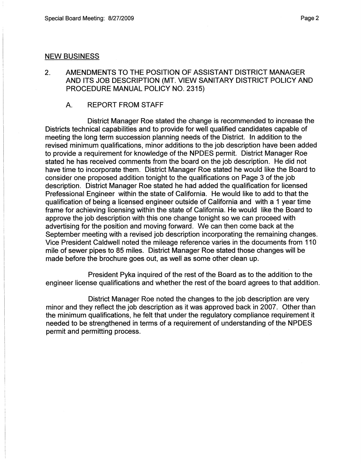#### NEW BUSINESS

- 2. AMENDMENTS TO THE POSITION OF ASSISTANT DISTRICT MANAGER AND ITS JOB DESCRIPTION (MT. VIEW SANITARY DISTRICT POLICY AND PROCEDURE MANUAL POLICY NO. 2315)
	- A. REPORT FROM STAFF

District Manager Roe stated the change is recommended to increase the Districts technical capabilities and to provide for well qualified candidates capable of meeting the long term succession planning needs of the District. In addition to the revised minimum qualifications, minor additions to the job description have been added to provide a requirement for knowledge of the NPDES permit. District Manager Roe stated he has received comments from the board on the job description. He did not have time to incorporate them. District Manager Roe stated he would like the Board to consider one proposed addition tonight to the qualifications on Page 3 of the job description. District Manager Roe stated he had added the qualification for licensed Prefessional Engineer within the state of California. He would like to add to that the qualification of being a licensed engineer outside of California and with a 1 year time frame for achieving licensing within the state of California. He would like the Board to approve the job description with this one change tonight so we can proceed with advertising for the position and moving forward. We can then come back at the September meeting with a revised job description incorporating the remaining changes. Vice President Caldwell noted the mileage reference varies in the documents from 110 mile of sewer pipes to 85 miles. District Manager Roe stated those changes will be made before the brochure goes out, as well as some other clean up.

President Pyka inquired of the rest of the Board as to the addition to the engineer license qualifications and whether the rest of the board agrees to that addition.

District Manager Roe noted the changes to the job description are very minor and they reflect the job description as it was approved back in 2007. Other than the minimum qualifications, he felt that under the regulatory compliance requirement it needed to be strengthened in terms of a requirement of understanding of the NPDES permit and permitting process.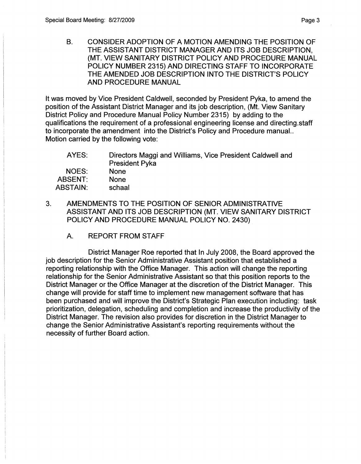B. CONSIDER ADOPTION OF A MOTION AMENDING THE POSITION OF THE ASSISTANT DISTRICT MANAGER AND ITS JOB DESCRIPTION, (MT. VIEW SANITARY DISTRICT POLICY AND PROCEDURE MANUAL POLICY NUMBER 2315) AND DIRECTING STAFF TO INCORPORATE THE AMENDED JOB DESCRIPTION INTO THE DISTRICT'S POLICY AND PROCEDURE MANUAL

It was moved by Vice President Caldwell, seconded by President Pyka, to amend the position of the Assistant District Manager and its job description, (Mt. View Sanitary District Policy and Procedure Manual Policy Number 2315) by adding to the qualifications the requirement of a professional engineering license and directing.staff to incorporate the amendment into the District's Policy and Procedure manual.. Motion carried by the following vote:

| AYES:           | Directors Maggi and Williams, Vice President Caldwell and<br><b>President Pyka</b> |
|-----------------|------------------------------------------------------------------------------------|
| NOES:           | <b>None</b>                                                                        |
| ABSENT:         | <b>None</b>                                                                        |
| <b>ABSTAIN:</b> | schaal                                                                             |

- 3. AMENDMENTS TO THE POSITION OF SENIOR ADMINISTRATIVE ASSISTANT AND ITS JOB DESCRIPTION (MT. VIEW SANITARY DISTRICT POLICY AND PROCEDURE MANUAL POLICY NO. 2430)
	- A. REPORT FROM STAFF

District Manager Roe reported that In July 2008, the Board approved the job description for the Senior Administrative Assistant position that established a reporting relationship with the Office Manager. This action will change the reporting relationship for the Senior Administrative Assistant so that this position reports to the District Manager or the Office Manager at the discretion of the District Manager. This change will provide for staff time to implement new management software that has been purchased and will improve the District's Strategic Plan execution including: task prioritization, delegation, scheduling and completion and increase the productivity of the District Manager. The revision also provides for discretion in the District Manager to change the Senior Administrative Assistant's reporting requirements without the necessity of further Board action.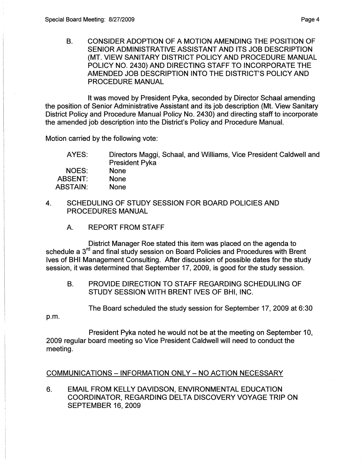B. CONSIDER ADOPTION OF A MOTION AMENDING THE POSITION OF SENIOR ADMINISTRATIVE ASSISTANT AND ITS JOB DESCRIPTION (MT. VIEW SANITARY DISTRICT POLICY AND PROCEDURE MANUAL POLICY NO. 2430) AND DIRECTING STAFF TO INCORPORATE THE AMENDED JOB DESCRIPTION INTO THE DISTRICT'S POLICY AND PROCEDURE MANUAL

It was moved by President Pyka, seconded by Director Schaal amending the position of Senior Administrative Assistant and its job description (Mt. View Sanitary District Policy and Procedure Manual Policy No. 2430) and directing staff to incorporate the amended job description into the District's Policy and Procedure Manual.

Motion carried by the following vote:

| AYES:    | Directors Maggi, Schaal, and Williams, Vice President Caldwell and |
|----------|--------------------------------------------------------------------|
|          | <b>President Pyka</b>                                              |
| NOES:    | <b>None</b>                                                        |
| ABSENT:  | <b>None</b>                                                        |
| ABSTAIN: | <b>None</b>                                                        |

- 4. SCHEDULING OF STUDY SESSION FOR BOARD POLICIES AND PROCEDURES MANUAL
	- A. REPORT FROM STAFF

District Manager Roe stated this item was placed on the agenda to schedule a 3<sup>rd</sup> and final study session on Board Policies and Procedures with Brent Ives of BHI Management Consulting. After discussion of possible dates for the study session, it was determined that September 17,2009, is good for the study session.

B. PROVIDE DIRECTION TO STAFF REGARDING SCHEDULING OF STUDY SESSION WITH BRENT IVES OF BHI, INC.

The Board scheduled the study session for September 17, 2009 at 6:30

p.m.

President Pyka noted he would not be at the meeting on September 10, 2009 regular board meeting so Vice President Caldwell will need to conduct the meeting.

# COMMUNICATIONS - INFORMATION ONLY - NO ACTION NECESSARY

6. EMAIL FROM KELLY DAVIDSON, ENVIRONMENTAL EDUCATION COORDINATOR, REGARDING DELTA DISCOVERY VOYAGE TRIP ON SEPTEMBER 16, 2009